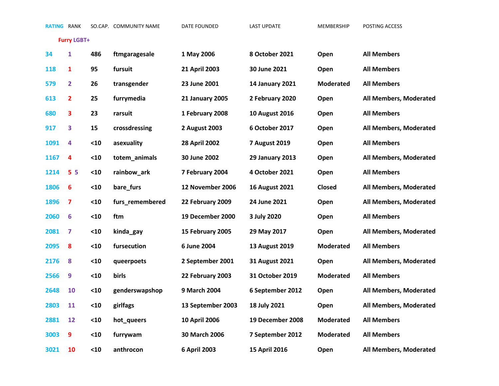**Furry LGBT+**

| 34   | 1                       | 486  | ftmgaragesale   | 1 May 2006             | 8 October 2021         | Open             | <b>All Members</b>     |
|------|-------------------------|------|-----------------|------------------------|------------------------|------------------|------------------------|
| 118  | 1                       | 95   | fursuit         | 21 April 2003          | 30 June 2021           | Open             | <b>All Members</b>     |
| 579  | $\overline{2}$          | 26   | transgender     | 23 June 2001           | <b>14 January 2021</b> | <b>Moderated</b> | <b>All Members</b>     |
| 613  | 2                       | 25   | furrymedia      | <b>21 January 2005</b> | 2 February 2020        | Open             | All Members, Moderated |
| 680  | 3                       | 23   | rarsuit         | 1 February 2008        | <b>10 August 2016</b>  | Open             | <b>All Members</b>     |
| 917  | 3                       | 15   | crossdressing   | 2 August 2003          | 6 October 2017         | Open             | All Members, Moderated |
| 1091 | 4                       | $10$ | asexuality      | <b>28 April 2002</b>   | <b>7 August 2019</b>   | Open             | <b>All Members</b>     |
| 1167 | 4                       | $10$ | totem_animals   | 30 June 2002           | <b>29 January 2013</b> | Open             | All Members, Moderated |
| 1214 | 5 <sub>5</sub>          | $10$ | rainbow_ark     | 7 February 2004        | 4 October 2021         | Open             | <b>All Members</b>     |
| 1806 | 6                       | $10$ | bare_furs       | 12 November 2006       | <b>16 August 2021</b>  | Closed           | All Members, Moderated |
| 1896 | $\overline{\mathbf{z}}$ | $10$ | furs_remembered | 22 February 2009       | 24 June 2021           | Open             | All Members, Moderated |
| 2060 | $6\phantom{1}6$         | $10$ | ftm             | 19 December 2000       | 3 July 2020            | Open             | <b>All Members</b>     |
| 2081 | 7                       | $10$ | kinda_gay       | 15 February 2005       | 29 May 2017            | Open             | All Members, Moderated |
| 2095 | 8                       | $10$ | fursecution     | 6 June 2004            | 13 August 2019         | <b>Moderated</b> | <b>All Members</b>     |
| 2176 | 8                       | $10$ | queerpoets      | 2 September 2001       | <b>31 August 2021</b>  | Open             | All Members, Moderated |
| 2566 | 9                       | $10$ | birls           | 22 February 2003       | 31 October 2019        | <b>Moderated</b> | <b>All Members</b>     |
| 2648 | 10                      | $10$ | genderswapshop  | 9 March 2004           | 6 September 2012       | Open             | All Members, Moderated |
| 2803 | 11                      | $10$ | girlfags        | 13 September 2003      | 18 July 2021           | Open             | All Members, Moderated |
| 2881 | 12                      | $10$ | hot_queers      | 10 April 2006          | 19 December 2008       | <b>Moderated</b> | <b>All Members</b>     |
| 3003 | 9                       | $10$ | furrywam        | 30 March 2006          | 7 September 2012       | <b>Moderated</b> | <b>All Members</b>     |
| 3021 | 10                      | $10$ | anthrocon       | 6 April 2003           | 15 April 2016          | Open             | All Members, Moderated |